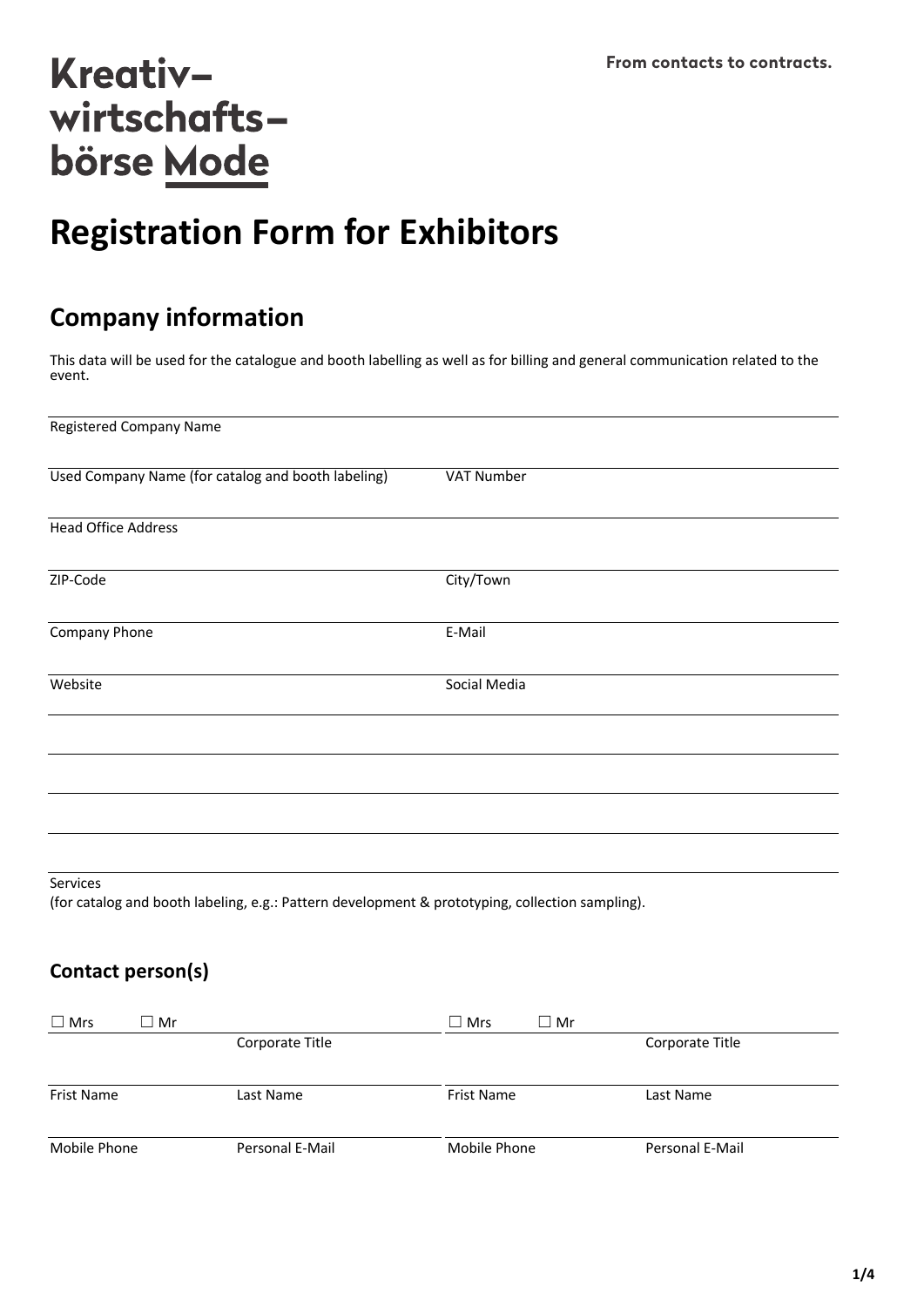# **Registration Form for Exhibitors**

## **Company information**

This data will be used for the catalogue and booth labelling as well as for billing and general communication related to the event.

| <b>Registered Company Name</b>                                                                            |              |
|-----------------------------------------------------------------------------------------------------------|--------------|
| Used Company Name (for catalog and booth labeling)                                                        | VAT Number   |
| <b>Head Office Address</b>                                                                                |              |
| ZIP-Code                                                                                                  | City/Town    |
| Company Phone                                                                                             | E-Mail       |
| Website                                                                                                   | Social Media |
|                                                                                                           |              |
|                                                                                                           |              |
|                                                                                                           |              |
| Services<br>(for catalog and booth labeling e.g.; Dattern development 8, prototyping collection campling) |              |

(for catalog and booth labeling, e.g.: Pattern development & prototyping, collection sampling).

## **Contact person(s)**

| $\Box$ Mrs   | $\Box$ Mr |                 | $\square$ Mrs | $\Box$ Mr |                 |
|--------------|-----------|-----------------|---------------|-----------|-----------------|
|              |           | Corporate Title |               |           | Corporate Title |
| Frist Name   |           | Last Name       | Frist Name    |           | Last Name       |
| Mobile Phone |           | Personal E-Mail | Mobile Phone  |           | Personal E-Mail |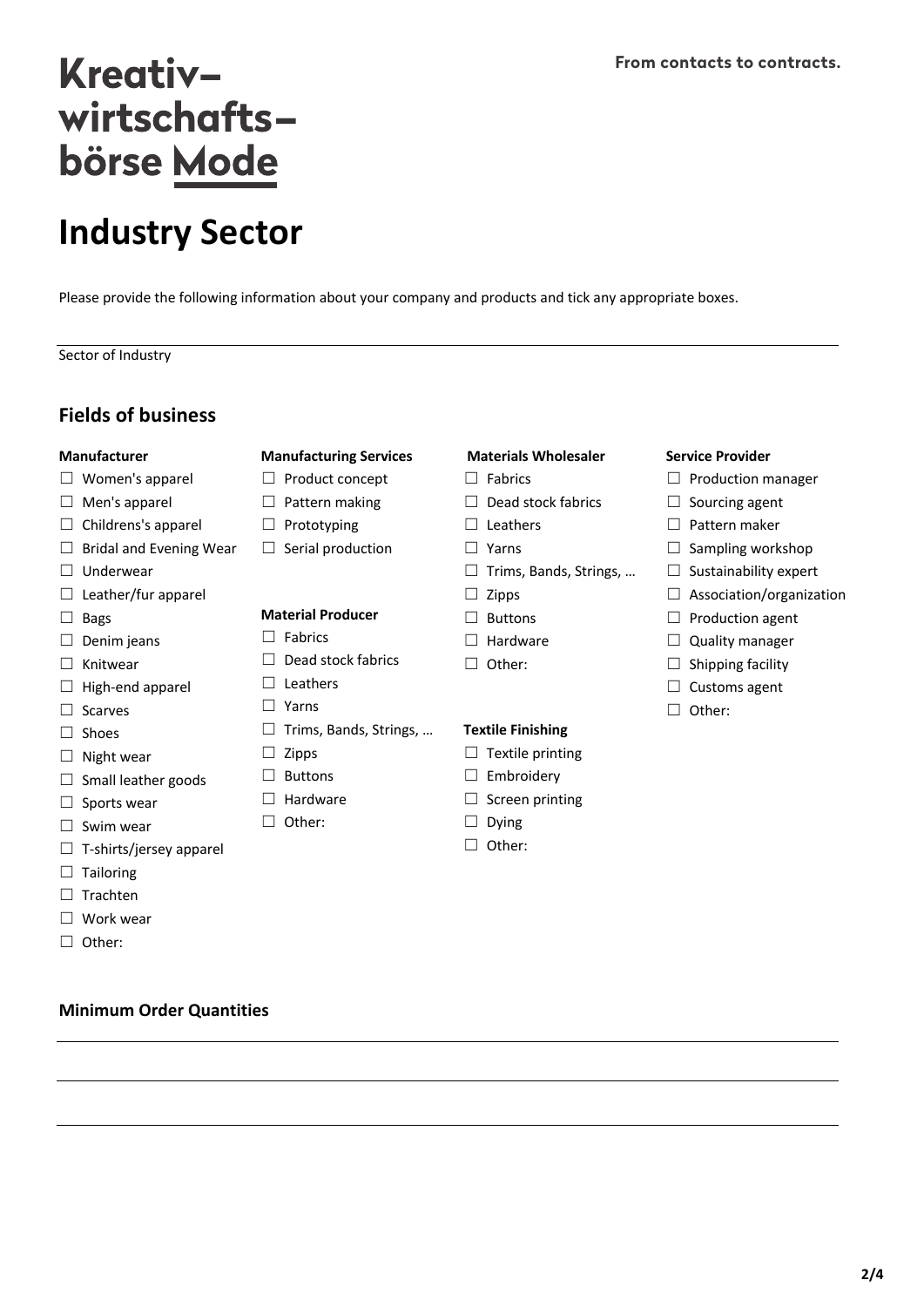# **Industry Sector**

Please provide the following information about your company and products and tick any appropriate boxes.

Sector of Industry

### **Fields of business**

#### **Manufacturer**

- $\Box$  Women's apparel
- □ Men's apparel
- $\Box$  Childrens's apparel
- $\Box$  Bridal and Evening Wear
- ☐ Underwear
- □ Leather/fur apparel
- ☐ Bags
- $\Box$  Denim jeans
- □ Knitwear
- □ High-end apparel
- □ Scarves
- ☐ Shoes
- $\Box$  Night wear
- □ Small leather goods
- □ Sports wear
- □ Swim wear
- $\Box$  T-shirts/jersey apparel
- $\Box$  Tailoring
- ☐ Trachten
- ☐ Work wear
- ☐ Other:

#### **Minimum Order Quantities**

#### **Manufacturing Services**

- ☐ Product concept
- □ Pattern making
- ☐ Prototyping
- $\Box$  Serial production

#### **Material Producer**

- ☐ Fabrics
- ☐ Dead stock fabrics
- ☐ Leathers
- ☐ Yarns
- ☐ Trims, Bands, Strings, …
- ☐ Zipps
- □ Buttons
- ☐ Hardware
- ☐ Other:
- **Materials Wholesaler**
- ☐ Fabrics
- ☐ Dead stock fabrics
- ☐ Leathers
- ☐ Yarns
- ☐ Trims, Bands, Strings, …
- $\Box$  Zipps
- ☐ Buttons
- □ Hardware
- ☐ Other:

#### **Textile Finishing**

- $\Box$  Textile printing
- □ Embroidery
- $\Box$  Screen printing
- ☐ Dying
- ☐ Other:

#### **From contacts to contracts.**

- **Service Provider**
- ☐ Production manager
- □ Sourcing agent
- ☐ Pattern maker
- $\Box$  Sampling workshop
- $\Box$  Sustainability expert
- □ Association/organization
- □ Production agent
- □ Quality manager
- $\Box$  Shipping facility
- □ Customs agent
- ☐ Other:

**2/4**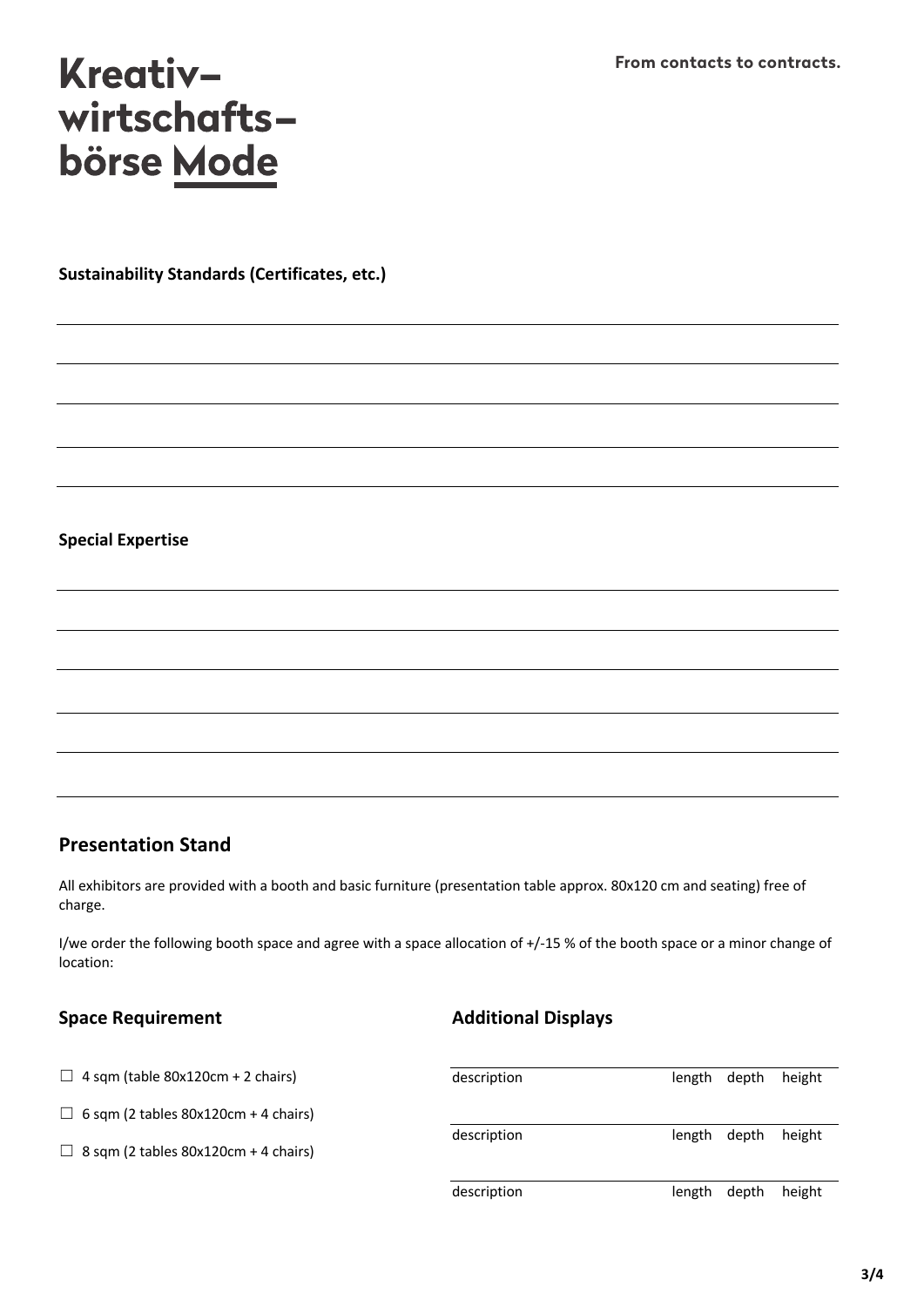**Sustainability Standards (Certificates, etc.)**

### **Special Expertise**

### **Presentation Stand**

All exhibitors are provided with a booth and basic furniture (presentation table approx. 80x120 cm and seating) free of charge.

I/we order the following booth space and agree with a space allocation of +/-15 % of the booth space or a minor change of location:

### **Space Requirement**

### **Additional Displays**

| $\Box$ 4 sqm (table 80x120cm + 2 chairs)    | description |        | length depth | height |
|---------------------------------------------|-------------|--------|--------------|--------|
| $\Box$ 6 sqm (2 tables 80x120cm + 4 chairs) |             |        |              |        |
| $\Box$ 8 sqm (2 tables 80x120cm + 4 chairs) | description |        | length depth | height |
|                                             | description | length | depth        | height |